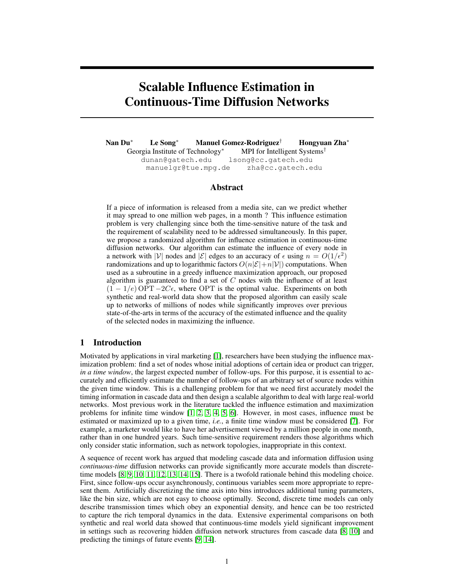# Scalable Influence Estimation in Continuous-Time Diffusion Networks

Nan Du<sup>∗</sup> Le Song<sup>∗</sup> Manuel Gomez-Rodriguez† Hongyuan Zha<sup>∗</sup> Georgia Institute of Technology<sup>∗</sup> MPI for Intelligent Systems<sup>†</sup> dunan@gatech.edu lsong@cc.gatech.edu manuelgr@tue.mpg.de zha@cc.gatech.edu

# Abstract

If a piece of information is released from a media site, can we predict whether it may spread to one million web pages, in a month ? This influence estimation problem is very challenging since both the time-sensitive nature of the task and the requirement of scalability need to be addressed simultaneously. In this paper, we propose a randomized algorithm for influence estimation in continuous-time diffusion networks. Our algorithm can estimate the influence of every node in a network with |V| nodes and  $|\mathcal{E}|$  edges to an accuracy of  $\epsilon$  using  $n = O(1/\epsilon^2)$ randomizations and up to logarithmic factors  $O(n|\mathcal{E}|+n|\mathcal{V}|)$  computations. When used as a subroutine in a greedy influence maximization approach, our proposed algorithm is guaranteed to find a set of  $C$  nodes with the influence of at least  $(1 - 1/e)$  OPT  $-2C\epsilon$ , where OPT is the optimal value. Experiments on both synthetic and real-world data show that the proposed algorithm can easily scale up to networks of millions of nodes while significantly improves over previous state-of-the-arts in terms of the accuracy of the estimated influence and the quality of the selected nodes in maximizing the influence.

# 1 Introduction

Motivated by applications in viral marketing [1], researchers have been studying the influence maximization problem: find a set of nodes whose initial adoptions of certain idea or product can trigger, *in a time window*, the largest expected number of follow-ups. For this purpose, it is essential to accurately and efficiently estimate the number of follow-ups of an arbitrary set of source nodes within the given time window. This is a challenging problem for that we need first accurately model the timing information in cascade data and then design a scalable algorithm to deal with large real-world networks. Most previous work in the literature tackled the influence estimation and maximization problems for infinite time window [1, 2, 3, 4, 5, 6]. However, in most cases, influence must be estimated or maximized up to a given time, *i.e.*, a finite time window must be considered [7]. For example, a marketer would like to have her advertisement viewed by a million people in one month, rather than in one hundred years. Such time-sensitive requirement renders those algorithms which only consider static information, such as network topologies, inappropriate in this context.

A sequence of recent work has argued that modeling cascade data and information diffusion using *continuous-time* diffusion networks can provide significantly more accurate models than discretetime models [8, 9, 10, 11, 12, 13, 14, 15]. There is a twofold rationale behind this modeling choice. First, since follow-ups occur asynchronously, continuous variables seem more appropriate to represent them. Artificially discretizing the time axis into bins introduces additional tuning parameters, like the bin size, which are not easy to choose optimally. Second, discrete time models can only describe transmission times which obey an exponential density, and hence can be too restricted to capture the rich temporal dynamics in the data. Extensive experimental comparisons on both synthetic and real world data showed that continuous-time models yield significant improvement in settings such as recovering hidden diffusion network structures from cascade data [8, 10] and predicting the timings of future events [9, 14].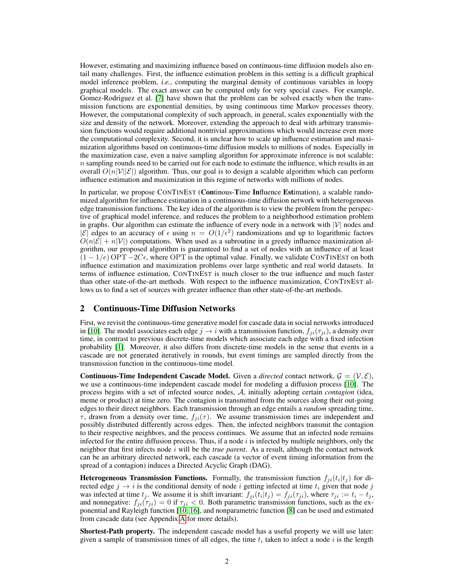However, estimating and maximizing influence based on continuous-time diffusion models also entail many challenges. First, the influence estimation problem in this setting is a difficult graphical model inference problem, *i.e.*, computing the marginal density of continuous variables in loopy graphical models. The exact answer can be computed only for very special cases. For example, Gomez-Rodriguez et al. [7] have shown that the problem can be solved exactly when the transmission functions are exponential densities, by using continuous time Markov processes theory. However, the computational complexity of such approach, in general, scales exponentially with the size and density of the network. Moreover, extending the approach to deal with arbitrary transmission functions would require additional nontrivial approximations which would increase even more the computational complexity. Second, it is unclear how to scale up influence estimation and maximization algorithms based on continuous-time diffusion models to millions of nodes. Especially in the maximization case, even a naive sampling algorithm for approximate inference is not scalable:  $n$  sampling rounds need to be carried out for each node to estimate the influence, which results in an overall  $O(n|\mathcal{V}||\mathcal{E})$  algorithm. Thus, our goal is to design a scalable algorithm which can perform influence estimation and maximization in this regime of networks with millions of nodes.

In particular, we propose CONTINEST (Continous-Time Influence Estimation), a scalable randomized algorithm for influence estimation in a continuous-time diffusion network with heterogeneous edge transmission functions. The key idea of the algorithm is to view the problem from the perspective of graphical model inference, and reduces the problem to a neighborhood estimation problem in graphs. Our algorithm can estimate the influence of every node in a network with  $|V|$  nodes and  $|\mathcal{E}|$  edges to an accuracy of  $\epsilon$  using  $n = O(1/\epsilon^2)$  randomizations and up to logarithmic factors  $O(n|\mathcal{E}| + n|\mathcal{V}|)$  computations. When used as a subroutine in a greedy influence maximization algorithm, our proposed algorithm is guaranteed to find a set of nodes with an influence of at least  $(1 - 1/e)$  OPT  $-2C\epsilon$ , where OPT is the optimal value. Finally, we validate CONTINEST on both influence estimation and maximization problems over large synthetic and real world datasets. In terms of influence estimation, CONTINEST is much closer to the true influence and much faster than other state-of-the-art methods. With respect to the influence maximization, CONTINEST allows us to find a set of sources with greater influence than other state-of-the-art methods.

# 2 Continuous-Time Diffusion Networks

First, we revisit the continuous-time generative model for cascade data in social networks introduced in [10]. The model associates each edge  $j \to i$  with a transmission function,  $f_{ii}(\tau_{ii})$ , a density over time, in contrast to previous discrete-time models which associate each edge with a fixed infection probability [1]. Moreover, it also differs from discrete-time models in the sense that events in a cascade are not generated iteratively in rounds, but event timings are sampled directly from the transmission function in the continuous-time model.

**Continuous-Time Independent Cascade Model.** Given a *directed* contact network,  $G = (V, E)$ , we use a continuous-time independent cascade model for modeling a diffusion process [10]. The process begins with a set of infected source nodes, A, initially adopting certain *contagion* (idea, meme or product) at time zero. The contagion is transmitted from the sources along their out-going edges to their direct neighbors. Each transmission through an edge entails a *random* spreading time,  $\tau$ , drawn from a density over time,  $f_{ii}(\tau)$ . We assume transmission times are independent and possibly distributed differently across edges. Then, the infected neighbors transmit the contagion to their respective neighbors, and the process continues. We assume that an infected node remains infected for the entire diffusion process. Thus, if a node  $i$  is infected by multiple neighbors, only the neighbor that first infects node  $i$  will be the *true parent*. As a result, although the contact network can be an arbitrary directed network, each cascade (a vector of event timing information from the spread of a contagion) induces a Directed Acyclic Graph (DAG).

**Heterogeneous Transmission Functions.** Formally, the transmission function  $f_{ji}(t_i|t_j)$  for directed edge  $j \rightarrow i$  is the conditional density of node i getting infected at time  $t_i$  given that node j was infected at time  $t_j$ . We assume it is shift invariant:  $f_{ji}(t_i|t_j) = f_{ji}(\tau_{ji})$ , where  $\tau_{ji} := t_i - t_j$ , and nonnegative:  $f_{ji}(\tau_{ji}) = 0$  if  $\tau_{ji} < 0$ . Both parametric transmission functions, such as the exponential and Rayleigh function [10, 16], and nonparametric function [8] can be used and estimated from cascade data (see Appendix A for more details).

Shortest-Path property. The independent cascade model has a useful property we will use later: given a sample of transmission times of all edges, the time  $t_i$  taken to infect a node i is the length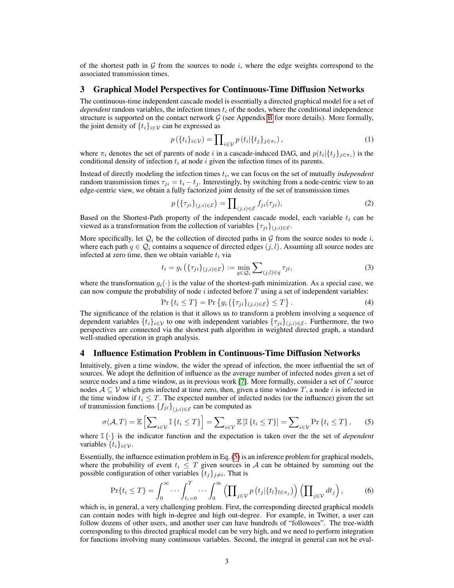of the shortest path in  $G$  from the sources to node i, where the edge weights correspond to the associated transmission times.

## 3 Graphical Model Perspectives for Continuous-Time Diffusion Networks

The continuous-time independent cascade model is essentially a directed graphical model for a set of *dependent* random variables, the infection times  $t_i$  of the nodes, where the conditional independence structure is supported on the contact network  $G$  (see Appendix B for more details). More formally, the joint density of  $\{t_i\}_{i\in\mathcal{V}}$  can be expressed as

$$
p(\lbrace t_i \rbrace_{i \in \mathcal{V}}) = \prod_{i \in \mathcal{V}} p(t_i | \lbrace t_j \rbrace_{j \in \pi_i}), \tag{1}
$$

where  $\pi_i$  denotes the set of parents of node i in a cascade-induced DAG, and  $p(t_i | \{t_j\}_{j \in \pi_i})$  is the conditional density of infection  $t_i$  at node i given the infection times of its parents.

Instead of directly modeling the infection times  $t_i$ , we can focus on the set of mutually *independent* random transmission times  $\tau_{ji} = t_i - t_j$ . Interestingly, by switching from a node-centric view to an edge-centric view, we obtain a fully factorized joint density of the set of transmission times

$$
p\left(\{\tau_{ji}\}_{(j,i)\in\mathcal{E}}\right) = \prod_{(j,i)\in\mathcal{E}} f_{ji}(\tau_{ji}),\tag{2}
$$

Based on the Shortest-Path property of the independent cascade model, each variable  $t_i$  can be viewed as a transformation from the collection of variables  $\{\tau_{ji}\}_{(j,i)\in\mathcal{E}}$ .

More specifically, let  $Q_i$  be the collection of directed paths in G from the source nodes to node i, where each path  $q \in \mathcal{Q}_i$  contains a sequence of directed edges  $(j, l)$ . Assuming all source nodes are infected at zero time, then we obtain variable  $t_i$  via

$$
t_i = g_i\left(\{\tau_{ji}\}_{(j,i)\in\mathcal{E}}\right) := \min_{q\in\mathcal{Q}_i} \sum_{(j,l)\in q} \tau_{jl},\tag{3}
$$

where the transformation  $g_i(\cdot)$  is the value of the shortest-path minimization. As a special case, we can now compute the probability of node  $i$  infected before  $T$  using a set of independent variables:

$$
\Pr\left\{t_i \le T\right\} = \Pr\left\{g_i\left(\{\tau_{ji}\}_{(j,i)\in\mathcal{E}}\right) \le T\right\}.
$$
\n(4)

The significance of the relation is that it allows us to transform a problem involving a sequence of dependent variables  $\{t_i\}_{i\in\mathcal{V}}$  to one with independent variables  $\{\tau_{ji}\}_{(j,i)\in\mathcal{E}}$ . Furthermore, the two perspectives are connected via the shortest path algorithm in weighted directed graph, a standard well-studied operation in graph analysis.

#### 4 Influence Estimation Problem in Continuous-Time Diffusion Networks

Intuitively, given a time window, the wider the spread of infection, the more influential the set of sources. We adopt the definition of influence as the average number of infected nodes given a set of source nodes and a time window, as in previous work [7]. More formally, consider a set of  $C$  source nodes  $A \subseteq V$  which gets infected at time zero, then, given a time window T, a node i is infected in the time window if  $t_i \leq T$ . The expected number of infected nodes (or the influence) given the set of transmission functions  ${f_{ji}}_{(i,i) \in \mathcal{E}}$  can be computed as

$$
\sigma(\mathcal{A}, T) = \mathbb{E}\left[\sum_{i \in \mathcal{V}} \mathbb{I}\left\{t_i \leq T\right\}\right] = \sum_{i \in \mathcal{V}} \mathbb{E}\left[\mathbb{I}\left\{t_i \leq T\right\}\right] = \sum_{i \in \mathcal{V}} \Pr\left\{t_i \leq T\right\},\tag{5}
$$

where I {·} is the indicator function and the expectation is taken over the the set of *dependent* variables  $\{t_i\}_{i\in\mathcal{V}}$ .

Essentially, the influence estimation problem in Eq. (5) is an inference problem for graphical models, where the probability of event  $t_i \leq T$  given sources in A can be obtained by summing out the possible configuration of other variables  $\{t_j\}_{j\neq i}$ . That is

$$
\Pr\{t_i \leq T\} = \int_0^\infty \cdots \int_{t_i=0}^T \cdots \int_0^\infty \left(\prod_{j \in \mathcal{V}} p\left(t_j | \{t_l\}_{l \in \pi_j}\right)\right) \left(\prod_{j \in \mathcal{V}} dt_j\right),\tag{6}
$$

which is, in general, a very challenging problem. First, the corresponding directed graphical models can contain nodes with high in-degree and high out-degree. For example, in Twitter, a user can follow dozens of other users, and another user can have hundreds of "followees". The tree-width corresponding to this directed graphical model can be very high, and we need to perform integration for functions involving many continuous variables. Second, the integral in general can not be eval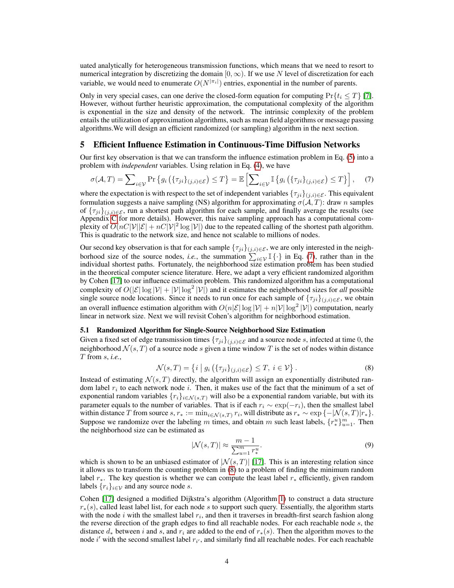uated analytically for heterogeneous transmission functions, which means that we need to resort to numerical integration by discretizing the domain  $[0, \infty)$ . If we use N level of discretization for each variable, we would need to enumerate  $O(N^{|\pi_i|})$  entries, exponential in the number of parents.

Only in very special cases, can one derive the closed-form equation for computing  $Pr\{t_i \leq T\}$  [7]. However, without further heuristic approximation, the computational complexity of the algorithm is exponential in the size and density of the network. The intrinsic complexity of the problem entails the utilization of approximation algorithms, such as mean field algorithms or message passing algorithms.We will design an efficient randomized (or sampling) algorithm in the next section.

## 5 Efficient Influence Estimation in Continuous-Time Diffusion Networks

Our first key observation is that we can transform the influence estimation problem in Eq. (5) into a problem with *independent* variables. Using relation in Eq. (4), we have

$$
\sigma(\mathcal{A}, T) = \sum_{i \in \mathcal{V}} \Pr \left\{ g_i \left( \{ \tau_{ji} \}_{(j,i) \in \mathcal{E}} \right) \le T \right\} = \mathbb{E} \left[ \sum_{i \in \mathcal{V}} \mathbb{I} \left\{ g_i \left( \{ \tau_{ji} \}_{(j,i) \in \mathcal{E}} \right) \le T \right\} \right], \quad (7)
$$

where the expectation is with respect to the set of independent variables  $\{\tau_{ji}\}_{(j,i)\in\mathcal{E}}$ . This equivalent formulation suggests a naive sampling (NS) algorithm for approximating  $\sigma(A, T)$ : draw n samples of  $\{\tau_{ji}\}_{(i,i)\in\mathcal{E}}$ , run a shortest path algorithm for each sample, and finally average the results (see Appendix C for more details). However, this naive sampling approach has a computational complexity of  $O(nC|\mathcal{V}||\mathcal{E}| + nC|\mathcal{V}|^2 \log |\mathcal{V}|)$  due to the repeated calling of the shortest path algorithm. This is quadratic to the network size, and hence not scalable to millions of nodes.

Our second key observation is that for each sample  $\{\tau_{ji}\}_{(j,i)\in\mathcal{E}}$ , we are only interested in the neighborhood size of the source nodes, *i.e.*, the summation  $\sum_{i\in\mathcal{V}} \mathbb{I} \{\cdot\}$  in Eq. (7), rather than in the individual shortest paths. Fortunately, the neighborhood size estimation problem has been studied in the theoretical computer science literature. Here, we adapt a very efficient randomized algorithm by Cohen [17] to our influence estimation problem. This randomized algorithm has a computational complexity of  $O(|\mathcal{E}| \log |\mathcal{V}| + |\mathcal{V}| \log^2 |\mathcal{V}|)$  and it estimates the neighborhood sizes for *all* possible single source node locations. Since it needs to run once for each sample of  $\{\tau_{ji}\}_{(j,i)\in\mathcal{E}}$ , we obtain an overall influence estimation algorithm with  $O(n|\mathcal{E}| \log |\mathcal{V}| + n|\mathcal{V}| \log^2 |\mathcal{V}|)$  computation, nearly linear in network size. Next we will revisit Cohen's algorithm for neighborhood estimation.

#### 5.1 Randomized Algorithm for Single-Source Neighborhood Size Estimation

Given a fixed set of edge transmission times  $\{\tau_{ji}\}_{(j,i)\in\mathcal{E}}$  and a source node s, infected at time 0, the neighborhood  $\mathcal{N}(s, T)$  of a source node s given a time window T is the set of nodes within distance T from s, *i.e.*,

$$
\mathcal{N}(s,T) = \left\{ i \mid g_i\left(\{\tau_{ji}\}_{(j,i)\in\mathcal{E}}\right) \leq T, \ i \in \mathcal{V} \right\}.
$$
\n
$$
(8)
$$

Instead of estimating  $\mathcal{N}(s, T)$  directly, the algorithm will assign an exponentially distributed random label  $r_i$  to each network node i. Then, it makes use of the fact that the minimum of a set of exponential random variables  $\{r_i\}_{i \in \mathcal{N}(s,T)}$  will also be a exponential random variable, but with its parameter equals to the number of variables. That is if each  $r_i \sim \exp(-r_i)$ , then the smallest label within distance T from source  $s, r_* := \min_{i \in \mathcal{N}(s,T)} r_i$ , will distribute as  $r_* \sim \exp\{-|\mathcal{N}(s,T)|r_*\}.$ Suppose we randomize over the labeling m times, and obtain m such least labels,  $\{r^u_*\}_{u=1}^m$ . Then the neighborhood size can be estimated as

$$
|\mathcal{N}(s,T)| \approx \frac{m-1}{\sum_{u=1}^{m} r_u^u}.
$$
\n(9)

which is shown to be an unbiased estimator of  $|\mathcal{N}(s,T)|$  [17]. This is an interesting relation since it allows us to transform the counting problem in (8) to a problem of finding the minimum random label  $r_{\ast}$ . The key question is whether we can compute the least label  $r_{\ast}$  efficiently, given random labels  $\{r_i\}_{i\in\mathcal{V}}$  and any source node s.

Cohen [17] designed a modified Dijkstra's algorithm (Algorithm 1) to construct a data structure  $r_*(s)$ , called least label list, for each node s to support such query. Essentially, the algorithm starts with the node  $i$  with the smallest label  $r_i$ , and then it traverses in breadth-first search fashion along the reverse direction of the graph edges to find all reachable nodes. For each reachable node s, the distance  $d_*$  between i and s, and  $r_i$  are added to the end of  $r_*(s)$ . Then the algorithm moves to the node i' with the second smallest label  $r_{i'}$ , and similarly find all reachable nodes. For each reachable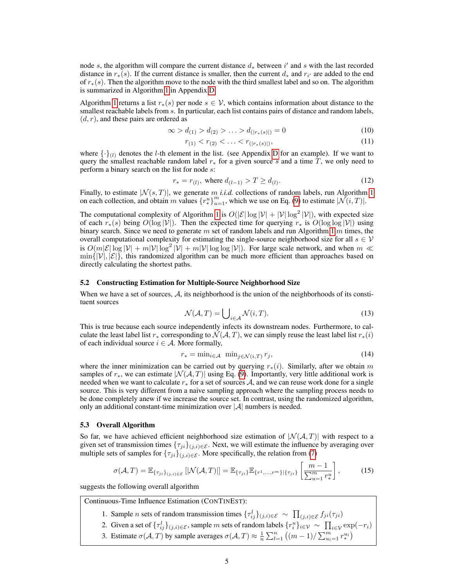node s, the algorithm will compare the current distance  $d_*$  between  $i'$  and s with the last recorded distance in  $r_*(s)$ . If the current distance is smaller, then the current  $d_*$  and  $r_{i'}$  are added to the end of  $r_*(s)$ . Then the algorithm move to the node with the third smallest label and so on. The algorithm is summarized in Algorithm 1 in Appendix D.

Algorithm 1 returns a list  $r_*(s)$  per node  $s \in V$ , which contains information about distance to the smallest reachable labels from s. In particular, each list contains pairs of distance and random labels,  $(d, r)$ , and these pairs are ordered as

$$
\infty > d_{(1)} > d_{(2)} > \ldots > d_{(|r_*(s)|)} = 0 \tag{10}
$$

$$
r_{(1)} < r_{(2)} < \ldots < r_{(|r_*(s)|)},\tag{11}
$$

where  $\{\cdot\}_{(l)}$  denotes the l-th element in the list. (see Appendix D for an example). If we want to query the smallest reachable random label  $r_*$  for a given source s and a time T, we only need to perform a binary search on the list for node s:

$$
r_* = r_{(l)}, \text{ where } d_{(l-1)} > T \ge d_{(l)}.
$$
 (12)

Finally, to estimate  $|\mathcal{N}(s,T)|$ , we generate m *i.i.d.* collections of random labels, run Algorithm 1 on each collection, and obtain m values  $\{r^u_*\}_{u=1}^m$ , which we use on Eq. (9) to estimate  $|\mathcal{N}(i,T)|$ .

The computational complexity of Algorithm 1 is  $O(|\mathcal{E}| \log |\mathcal{V}| + |\mathcal{V}| \log^2 |\mathcal{V}|)$ , with expected size of each  $r_*(s)$  being  $O(\log |\mathcal{V}|)$ . Then the expected time for querying  $r_*$  is  $O(\log \log |\mathcal{V}|)$  using binary search. Since we need to generate m set of random labels and run Algorithm 1 m times, the overall computational complexity for estimating the single-source neighborhood size for all  $s \in V$ is  $O(m|\mathcal{E}| \log |\mathcal{V}| + m|\mathcal{V}| \log^2 |\mathcal{V}| + m|\mathcal{V}| \log \log |\mathcal{V}|$ ). For large scale network, and when  $m \ll$  $\min\{|\mathcal{V}|, |\mathcal{E}|\}$ , this randomized algorithm can be much more efficient than approaches based on directly calculating the shortest paths.

#### 5.2 Constructing Estimation for Multiple-Source Neighborhood Size

When we have a set of sources, A, its neighborhood is the union of the neighborhoods of its constituent sources

$$
\mathcal{N}(\mathcal{A}, T) = \bigcup_{i \in \mathcal{A}} \mathcal{N}(i, T). \tag{13}
$$

This is true because each source independently infects its downstream nodes. Furthermore, to calculate the least label list r<sub>∗</sub> corresponding to  $\mathcal{N}(\mathcal{A}, T)$ , we can simply reuse the least label list r<sub>∗</sub>(i) of each individual source  $i \in A$ . More formally,

$$
r_* = \min_{i \in \mathcal{A}} \ \min_{j \in \mathcal{N}(i,T)} r_j,\tag{14}
$$

where the inner minimization can be carried out by querying  $r_*(i)$ . Similarly, after we obtain m samples of  $r_*$ , we can estimate  $|\mathcal{N}(\mathcal{A}, T)|$  using Eq. (9). Importantly, very little additional work is needed when we want to calculate  $r_*$  for a set of sources  $A$ , and we can reuse work done for a single source. This is very different from a naive sampling approach where the sampling process needs to be done completely anew if we increase the source set. In contrast, using the randomized algorithm, only an additional constant-time minimization over  $|\mathcal{A}|$  numbers is needed.

#### 5.3 Overall Algorithm

So far, we have achieved efficient neighborhood size estimation of  $|\mathcal{N}(A, T)|$  with respect to a given set of transmission times  $\{\tau_{ji}\}_{(i,i)\in\mathcal{E}}$ . Next, we will estimate the influence by averaging over multiple sets of samples for  $\{\tau_{ji}\}_{(j,i)\in\mathcal{E}}$ . More specifically, the relation from (7)

$$
\sigma(\mathcal{A}, T) = \mathbb{E}_{\{\tau_{ji}\}_{(j,i)\in\mathcal{E}}} [|\mathcal{N}(\mathcal{A}, T)|] = \mathbb{E}_{\{\tau_{ji}\}} \mathbb{E}_{\{\tau^1, \dots, \tau^m\}|\{\tau_{ji}\}} \left[\frac{m-1}{\sum_{u=1}^m r_u^u}\right],
$$
(15)

suggests the following overall algorithm

Continuous-Time Influence Estimation (CONTINEST):

1. Sample *n* sets of random transmission times  $\{\tau_{ij}^l\}_{(j,i)\in\mathcal{E}} \sim \prod_{(j,i)\in\mathcal{E}} f_{ji}(\tau_{ji})$ 

2. Given a set of  $\{\tau_{ij}^l\}_{(j,i)\in\mathcal{E}}$ , sample m sets of random labels  $\{\tau_i^u\}_{i\in\mathcal{V}} \sim \prod_{i\in\mathcal{V}} \exp(-r_i)$ 

3. Estimate  $\sigma(A, T)$  by sample averages  $\sigma(A, T) \approx \frac{1}{n} \sum_{l=1}^{n} ((m-1)/\sum_{u_l=1}^{m} r_*^{u_l})$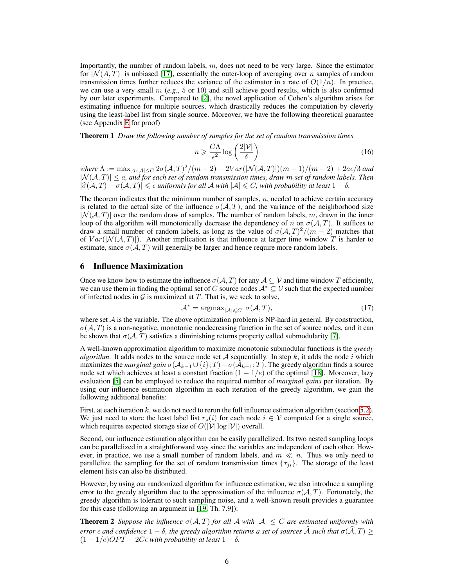Importantly, the number of random labels,  $m$ , does not need to be very large. Since the estimator for  $|\mathcal{N}(A, T)|$  is unbiased [17], essentially the outer-loop of averaging over n samples of random transmission times further reduces the variance of the estimator in a rate of  $O(1/n)$ . In practice, we can use a very small  $m$  (*e.g.*, 5 or 10) and still achieve good results, which is also confirmed by our later experiments. Compared to [2], the novel application of Cohen's algorithm arises for estimating influence for multiple sources, which drastically reduces the computation by cleverly using the least-label list from single source. Moreover, we have the following theoretical guarantee (see Appendix E for proof)

Theorem 1 *Draw the following number of samples for the set of random transmission times*

$$
n \geqslant \frac{C\Lambda}{\epsilon^2} \log \left( \frac{2|\mathcal{V}|}{\delta} \right) \tag{16}
$$

 $where \ \Lambda := \max_{\mathcal{A}: |\mathcal{A}| \leq C} 2\sigma(\mathcal{A}, T)^2/(m-2) + 2Var(|\mathcal{N}(\mathcal{A}, T)|)(m-1)/(m-2) + 2a\epsilon/3$  and  $|N(A,T)| \le a$ , and for each set of random transmission times, draw m set of random labels. Then  $|\hat{\sigma}(A, T) - \sigma(A, T)| \leq \epsilon$  *uniformly for all*  $A$  *with*  $|A| \leq C$ *, with probability at least*  $1 - \delta$ *.* 

The theorem indicates that the minimum number of samples,  $n$ , needed to achieve certain accuracy is related to the actual size of the influence  $\sigma(A, T)$ , and the variance of the neighborhood size  $|\mathcal{N}(\mathcal{A}, T)|$  over the random draw of samples. The number of random labels, m, drawn in the inner loop of the algorithm will monotonically decrease the dependency of n on  $\sigma(\mathcal{A}, T)$ . It suffices to draw a small number of random labels, as long as the value of  $\sigma(A,T)^2/(m-2)$  matches that of  $Var(|\mathcal{N}(\mathcal{A}, T)|)$ . Another implication is that influence at larger time window T is harder to estimate, since  $\sigma(A, T)$  will generally be larger and hence require more random labels.

## 6 Influence Maximization

Once we know how to estimate the influence  $\sigma(A, T)$  for any  $A \subseteq V$  and time window T efficiently, we can use them in finding the optimal set of C source nodes  $A^* \subseteq V$  such that the expected number of infected nodes in  $G$  is maximized at  $T$ . That is, we seek to solve,

$$
\mathcal{A}^* = \operatorname{argmax}_{|\mathcal{A}| \leq C} \ \sigma(\mathcal{A}, T), \tag{17}
$$

where set  $A$  is the variable. The above optimization problem is NP-hard in general. By construction,  $\sigma(\mathcal{A}, T)$  is a non-negative, monotonic nondecreasing function in the set of source nodes, and it can be shown that  $\sigma(A, T)$  satisfies a diminishing returns property called submodularity [7].

A well-known approximation algorithm to maximize monotonic submodular functions is the *greedy algorithm*. It adds nodes to the source node set  $A$  sequentially. In step k, it adds the node i which maximizes the *marginal gain*  $\sigma(A_{k-1} \cup \{i\}; T) - \sigma(A_{k-1}; T)$ . The greedy algorithm finds a source node set which achieves at least a constant fraction  $(1 - 1/e)$  of the optimal [18]. Moreover, lazy evaluation [5] can be employed to reduce the required number of *marginal gains* per iteration. By using our influence estimation algorithm in each iteration of the greedy algorithm, we gain the following additional benefits:

First, at each iteration  $k$ , we do not need to rerun the full influence estimation algorithm (section 5.2). We just need to store the least label list  $r_*(i)$  for each node  $i \in V$  computed for a single source, which requires expected storage size of  $O(|\mathcal{V}| \log |\mathcal{V}|)$  overall.

Second, our influence estimation algorithm can be easily parallelized. Its two nested sampling loops can be parallelized in a straightforward way since the variables are independent of each other. However, in practice, we use a small number of random labels, and  $m \ll n$ . Thus we only need to parallelize the sampling for the set of random transmission times  $\{\tau_{ji}\}$ . The storage of the least element lists can also be distributed.

However, by using our randomized algorithm for influence estimation, we also introduce a sampling error to the greedy algorithm due to the approximation of the influence  $\sigma(A, T)$ . Fortunately, the greedy algorithm is tolerant to such sampling noise, and a well-known result provides a guarantee for this case (following an argument in [19, Th. 7.9]):

**Theorem 2** *Suppose the influence*  $\sigma(A, T)$  *for all* A *with*  $|A| \leq C$  *are estimated uniformly with error*  $\epsilon$  *and confidence*  $1 - \delta$ *, the greedy algorithm returns a set of sources*  $\hat{A}$  *such that*  $\sigma(\hat{A}, T) \ge$  $(1 - 1/e)OPT - 2C\epsilon$  with probability at least  $1 - \delta$ .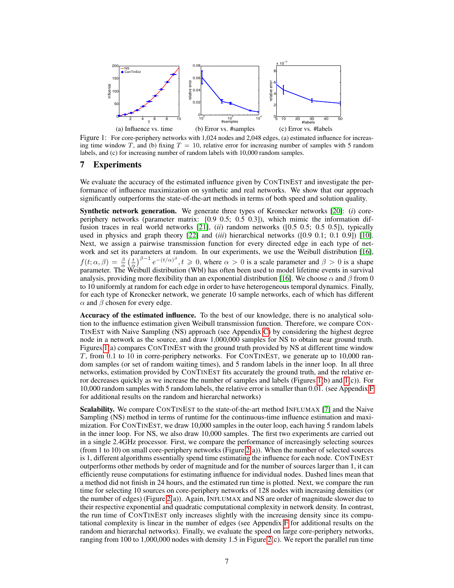

Figure 1: For core-periphery networks with 1,024 nodes and 2,048 edges, (a) estimated influence for increasing time window T, and (b) fixing  $T = 10$ , relative error for increasing number of samples with 5 random labels, and (c) for increasing number of random labels with 10,000 random samples.

# 7 Experiments

We evaluate the accuracy of the estimated influence given by CONTINEST and investigate the performance of influence maximization on synthetic and real networks. We show that our approach significantly outperforms the state-of-the-art methods in terms of both speed and solution quality.

Synthetic network generation. We generate three types of Kronecker networks [20]: (*i*) coreperiphery networks (parameter matrix: [0.9 0.5; 0.5 0.3]), which mimic the information diffusion traces in real world networks [21], (*ii*) random networks ([0.5 0.5; 0.5 0.5]), typically used in physics and graph theory [22] and (*iii*) hierarchical networks ([0.9 0.1; 0.1 0.9]) [10]. Next, we assign a pairwise transmission function for every directed edge in each type of network and set its parameters at random. In our experiments, we use the Weibull distribution [16],  $f(t; \alpha, \beta) = \frac{\beta}{\alpha} \left(\frac{t}{\alpha}\right)^{\beta-1} e^{-(t/\alpha)^{\beta}}, t \geq 0$ , where  $\alpha > 0$  is a scale parameter and  $\beta > 0$  is a shape  $f(t; \alpha, \beta) = \frac{1}{\alpha} \left( \frac{\alpha}{\alpha} \right)$ .  $e^{-(t+1)}$ ,  $t \ge 0$ , where  $\alpha > 0$  is a searc parameter. The Weibull distribution (Wbl) has often been used to model lifetime events in survival analysis, providing more flexibility than an exponential distribution [16]. We choose  $\alpha$  and  $\beta$  from 0 to 10 uniformly at random for each edge in order to have heterogeneous temporal dynamics. Finally, for each type of Kronecker network, we generate 10 sample networks, each of which has different  $\alpha$  and  $\beta$  chosen for every edge.

Accuracy of the estimated influence. To the best of our knowledge, there is no analytical solution to the influence estimation given Weibull transmission function. Therefore, we compare CON-TINEST with Naive Sampling (NS) approach (see Appendix C) by considering the highest degree node in a network as the source, and draw 1,000,000 samples for NS to obtain near ground truth. Figures 1(a) compares CONTINEST with the ground truth provided by NS at different time window T, from 0.1 to 10 in corre-periphery networks. For CONTINEST, we generate up to 10,000 random samples (or set of random waiting times), and 5 random labels in the inner loop. In all three networks, estimation provided by CONTINEST fits accurately the ground truth, and the relative error decreases quickly as we increase the number of samples and labels (Figures  $1(b)$  and  $1(c)$ ). For 10,000 random samples with 5 random labels, the relative error is smaller than 0.01. (see Appendix F for additional results on the random and hierarchal networks)

Scalability. We compare CONTINEST to the state-of-the-art method INFLUMAX [7] and the Naive Sampling (NS) method in terms of runtime for the continuous-time influence estimation and maximization. For CONTINEST, we draw 10,000 samples in the outer loop, each having 5 random labels in the inner loop. For NS, we also draw 10,000 samples. The first two experiments are carried out in a single 2.4GHz processor. First, we compare the performance of increasingly selecting sources (from 1 to 10) on small core-periphery networks (Figure 2(a)). When the number of selected sources is 1, different algorithms essentially spend time estimating the influence for each node. CONTINEST outperforms other methods by order of magnitude and for the number of sources larger than 1, it can efficiently reuse computations for estimating influence for individual nodes. Dashed lines mean that a method did not finish in 24 hours, and the estimated run time is plotted. Next, we compare the run time for selecting 10 sources on core-periphery networks of 128 nodes with increasing densities (or the number of edges) (Figure 2(a)). Again, INFLUMAX and NS are order of magnitude slower due to their respective exponential and quadratic computational complexity in network density. In contrast, the run time of CONTINEST only increases slightly with the increasing density since its computational complexity is linear in the number of edges (see Appendix F for additional results on the random and hierarchal networks). Finally, we evaluate the speed on large core-periphery networks, ranging from 100 to 1,000,000 nodes with density 1.5 in Figure 2(c). We report the parallel run time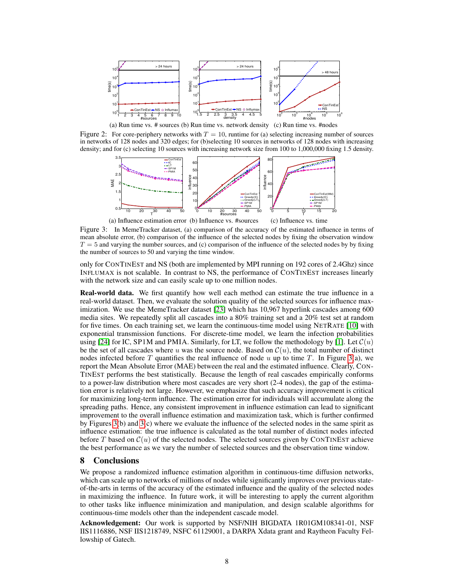

(a) Run time vs. # sources (b) Run time vs. network density (c) Run time vs. #nodes

Figure 2: For core-periphery networks with  $T = 10$ , runtime for (a) selecting increasing number of sources in networks of 128 nodes and 320 edges; for (b)selecting 10 sources in networks of 128 nodes with increasing density; and for (c) selecting 10 sources with increasing network size from 100 to 1,000,000 fixing 1.5 density.



Figure 3: In MemeTracker dataset, (a) comparison of the accuracy of the estimated influence in terms of mean absolute error, (b) comparison of the influence of the selected nodes by fixing the observation window  $T = 5$  and varying the number sources, and (c) comparison of the influence of the selected nodes by by fixing the number of sources to 50 and varying the time window.

only for CONTINEST and NS (both are implemented by MPI running on 192 cores of 2.4Ghz) since INFLUMAX is not scalable. In contrast to NS, the performance of CONTINEST increases linearly with the network size and can easily scale up to one million nodes.

Real-world data. We first quantify how well each method can estimate the true influence in a real-world dataset. Then, we evaluate the solution quality of the selected sources for influence maximization. We use the MemeTracker dataset [23] which has 10,967 hyperlink cascades among 600 media sites. We repeatedly split all cascades into a 80% training set and a 20% test set at random for five times. On each training set, we learn the continuous-time model using NETRATE [10] with exponential transmission functions. For discrete-time model, we learn the infection probabilities using [24] for IC, SP1M and PMIA. Similarly, for LT, we follow the methodology by [1]. Let  $\mathcal{C}(u)$ be the set of all cascades where u was the source node. Based on  $\mathcal{C}(u)$ , the total number of distinct nodes infected before T quantifies the real influence of node u up to time T. In Figure 3(a), we report the Mean Absolute Error (MAE) between the real and the estimated influence. Clearly, CON-TINEST performs the best statistically. Because the length of real cascades empirically conforms to a power-law distribution where most cascades are very short (2-4 nodes), the gap of the estimation error is relatively not large. However, we emphasize that such accuracy improvement is critical for maximizing long-term influence. The estimation error for individuals will accumulate along the spreading paths. Hence, any consistent improvement in influence estimation can lead to significant improvement to the overall influence estimation and maximization task, which is further confirmed by Figures  $3(b)$  and  $3(c)$  where we evaluate the influence of the selected nodes in the same spirit as influence estimation: the true influence is calculated as the total number of distinct nodes infected before T based on  $C(u)$  of the selected nodes. The selected sources given by CONTINEST achieve the best performance as we vary the number of selected sources and the observation time window.

# 8 Conclusions

We propose a randomized influence estimation algorithm in continuous-time diffusion networks, which can scale up to networks of millions of nodes while significantly improves over previous stateof-the-arts in terms of the accuracy of the estimated influence and the quality of the selected nodes in maximizing the influence. In future work, it will be interesting to apply the current algorithm to other tasks like influence minimization and manipulation, and design scalable algorithms for continuous-time models other than the independent cascade model.

Acknowledgement: Our work is supported by NSF/NIH BIGDATA 1R01GM108341-01, NSF IIS1116886, NSF IIS1218749, NSFC 61129001, a DARPA Xdata grant and Raytheon Faculty Fellowship of Gatech.